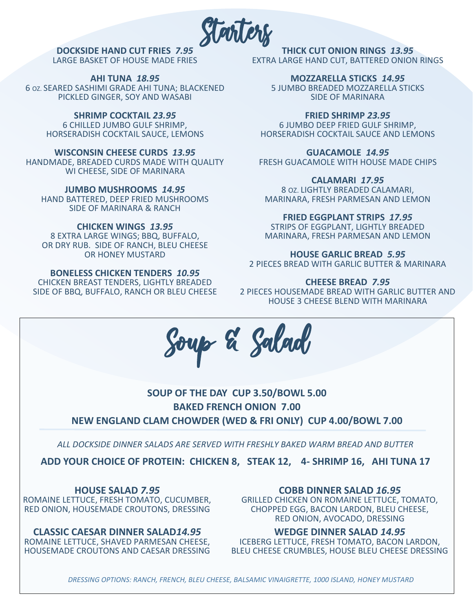Starters

**DOCKSIDE HAND CUT FRIES** *7.95* LARGE BASKET OF HOUSE MADE FRIES

**AHI TUNA** *18.95* 6 OZ. SEARED SASHIMI GRADE AHI TUNA; BLACKENED 5 JUMBO BREADED MOZZARELLA STICKS PICKLED GINGER, SOY AND WASABI

# **SHRIMP COCKTAIL** *23.95*

6 CHILLED JUMBO GULF SHRIMP, HORSERADISH COCKTAIL SAUCE, LEMONS

## **WISCONSIN CHEESE CURDS** *13.95*

HANDMADE, BREADED CURDS MADE WITH QUALITY WI CHEESE, SIDE OF MARINARA

**JUMBO MUSHROOMS** *14.95*

HAND BATTERED, DEEP FRIED MUSHROOMS SIDE OF MARINARA & RANCH

## **CHICKEN WINGS** *13.95*

8 EXTRA LARGE WINGS; BBQ, BUFFALO, OR DRY RUB. SIDE OF RANCH, BLEU CHEESE OR HONEY MUSTARD

## **BONELESS CHICKEN TENDERS** *10.95*

CHICKEN BREAST TENDERS, LIGHTLY BREADED SIDE OF BBQ, BUFFALO, RANCH OR BLEU CHEESE

**THICK CUT ONION RINGS** *13.95* EXTRA LARGE HAND CUT, BATTERED ONION RINGS

> **MOZZARELLA STICKS** *14.95* SIDE OF MARINARA

**FRIED SHRIMP** *23.95* 6 JUMBO DEEP FRIED GULF SHRIMP, HORSERADISH COCKTAIL SAUCE AND LEMONS

## **GUACAMOLE** *14.95*

FRESH GUACAMOLE WITH HOUSE MADE CHIPS

## **CALAMARI** *17.95*

8 OZ. LIGHTLY BREADED CALAMARI, MARINARA, FRESH PARMESAN AND LEMON

## **FRIED EGGPLANT STRIPS** *17.95*

STRIPS OF EGGPLANT, LIGHTLY BREADED MARINARA, FRESH PARMESAN AND LEMON

## **HOUSE GARLIC BREAD** *5.95*

2 PIECES BREAD WITH GARLIC BUTTER & MARINARA

## **CHEESE BREAD** *7.95*

2 PIECES HOUSEMADE BREAD WITH GARLIC BUTTER AND HOUSE 3 CHEESE BLEND WITH MARINARA

Soup & Salad

# **SOUP OF THE DAY CUP 3.50/BOWL 5.00 BAKED FRENCH ONION 7.00 NEW ENGLAND CLAM CHOWDER (WED & FRI ONLY) CUP 4.00/BOWL 7.00**

*ALL DOCKSIDE DINNER SALADS ARE SERVED WITH FRESHLY BAKED WARM BREAD AND BUTTER*

**ADD YOUR CHOICE OF PROTEIN: CHICKEN 8, STEAK 12, 4- SHRIMP 16, AHI TUNA 17**

**HOUSE SALAD** *7.95* ROMAINE LETTUCE, FRESH TOMATO, CUCUMBER, RED ONION, HOUSEMADE CROUTONS, DRESSING

**CLASSIC CAESAR DINNER SALAD***14.95*

ROMAINE LETTUCE, SHAVED PARMESAN CHEESE, HOUSEMADE CROUTONS AND CAESAR DRESSING **COBB DINNER SALAD** *16.95*

GRILLED CHICKEN ON ROMAINE LETTUCE, TOMATO, CHOPPED EGG, BACON LARDON, BLEU CHEESE, RED ONION, AVOCADO, DRESSING

## **WEDGE DINNER SALAD** *14.95*

ICEBERG LETTUCE, FRESH TOMATO, BACON LARDON, BLEU CHEESE CRUMBLES, HOUSE BLEU CHEESE DRESSING

*DRESSING OPTIONS: RANCH, FRENCH, BLEU CHEESE, BALSAMIC VINAIGRETTE, 1000 ISLAND, HONEY MUSTARD*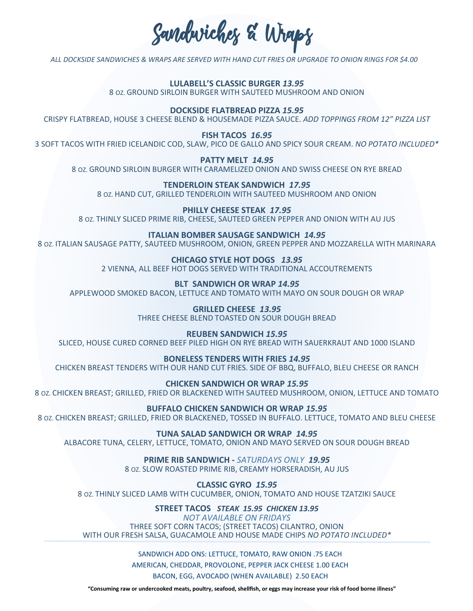Sandwiches & Wraps

*ALL DOCKSIDE SANDWICHES & WRAPS ARE SERVED WITH HAND CUT FRIES OR UPGRADE TO ONION RINGS FOR \$4.00*

**LULABELL'S CLASSIC BURGER** *13.95* 8 OZ. GROUND SIRLOIN BURGER WITH SAUTEED MUSHROOM AND ONION

## **DOCKSIDE FLATBREAD PIZZA** *15.95*

CRISPY FLATBREAD, HOUSE 3 CHEESE BLEND & HOUSEMADE PIZZA SAUCE. *ADD TOPPINGS FROM 12" PIZZA LIST*

**FISH TACOS** *16.95*

3 SOFT TACOS WITH FRIED ICELANDIC COD, SLAW, PICO DE GALLO AND SPICY SOUR CREAM. *NO POTATO INCLUDED\**

#### **PATTY MELT** *14.95*

8 OZ. GROUND SIRLOIN BURGER WITH CARAMELIZED ONION AND SWISS CHEESE ON RYE BREAD

**TENDERLOIN STEAK SANDWICH** *17.95*

8 OZ. HAND CUT, GRILLED TENDERLOIN WITH SAUTEED MUSHROOM AND ONION

**PHILLY CHEESE STEAK** *17.95* 8 OZ. THINLY SLICED PRIME RIB, CHEESE, SAUTEED GREEN PEPPER AND ONION WITH AU JUS

#### **ITALIAN BOMBER SAUSAGE SANDWICH** *14.95*

8 OZ. ITALIAN SAUSAGE PATTY, SAUTEED MUSHROOM, ONION, GREEN PEPPER AND MOZZARELLA WITH MARINARA

#### **CHICAGO STYLE HOT DOGS** *13.95*

2 VIENNA, ALL BEEF HOT DOGS SERVED WITH TRADITIONAL ACCOUTREMENTS

## **BLT SANDWICH OR WRAP** *14.95*

APPLEWOOD SMOKED BACON, LETTUCE AND TOMATO WITH MAYO ON SOUR DOUGH OR WRAP

**GRILLED CHEESE** *13.95* THREE CHEESE BLEND TOASTED ON SOUR DOUGH BREAD

#### **REUBEN SANDWICH** *15.95*

SLICED, HOUSE CURED CORNED BEEF PILED HIGH ON RYE BREAD WITH SAUERKRAUT AND 1000 ISLAND

#### **BONELESS TENDERS WITH FRIES** *14.95*

CHICKEN BREAST TENDERS WITH OUR HAND CUT FRIES. SIDE OF BBQ, BUFFALO, BLEU CHEESE OR RANCH

#### **CHICKEN SANDWICH OR WRAP** *15.95*

8 OZ. CHICKEN BREAST; GRILLED, FRIED OR BLACKENED WITH SAUTEED MUSHROOM, ONION, LETTUCE AND TOMATO

## **BUFFALO CHICKEN SANDWICH OR WRAP** *15.95*

8 OZ. CHICKEN BREAST; GRILLED, FRIED OR BLACKENED, TOSSED IN BUFFALO. LETTUCE, TOMATO AND BLEU CHEESE

#### **TUNA SALAD SANDWICH OR WRAP** *14.95*

ALBACORE TUNA, CELERY, LETTUCE, TOMATO, ONION AND MAYO SERVED ON SOUR DOUGH BREAD

## **PRIME RIB SANDWICH -** *SATURDAYS ONLY 19.95*

8 OZ. SLOW ROASTED PRIME RIB, CREAMY HORSERADISH, AU JUS

## **CLASSIC GYRO** *15.95*

8 OZ. THINLY SLICED LAMB WITH CUCUMBER, ONION, TOMATO AND HOUSE TZATZIKI SAUCE

## **STREET TACOS** *STEAK 15.95 CHICKEN 13.95*

#### *NOT AVAILABLE ON FRIDAYS* THREE SOFT CORN TACOS; (STREET TACOS) CILANTRO, ONION WITH OUR FRESH SALSA, GUACAMOLE AND HOUSE MADE CHIPS *NO POTATO INCLUDED\**

## SANDWICH ADD ONS: LETTUCE, TOMATO, RAW ONION .75 EACH AMERICAN, CHEDDAR, PROVOLONE, PEPPER JACK CHEESE 1.00 EACH

BACON, EGG, AVOCADO (WHEN AVAILABLE) 2.50 EACH

**"Consuming raw or undercooked meats, poultry, seafood, shellfish, or eggs may increase your risk of food borne illness"**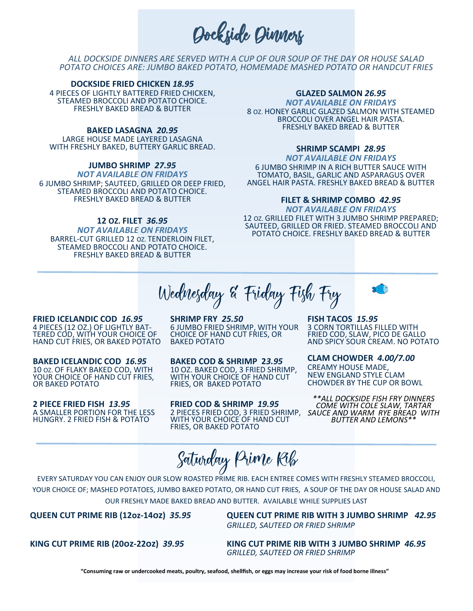Dockside Dinners

*ALL DOCKSIDE DINNERS ARE SERVED WITH A CUP OF OUR SOUP OF THE DAY OR HOUSE SALAD POTATO CHOICES ARE: JUMBO BAKED POTATO, HOMEMADE MASHED POTATO OR HANDCUT FRIES*

#### **DOCKSIDE FRIED CHICKEN** *18.95*

4 PIECES OF LIGHTLY BATTERED FRIED CHICKEN, STEAMED BROCCOLI AND POTATO CHOICE. FRESHLY BAKED BREAD & BUTTER

#### **BAKED LASAGNA** *20.95*

LARGE HOUSE MADE LAYERED LASAGNA WITH FRESHLY BAKED, BUTTERY GARLIC BREAD.

## **JUMBO SHRIMP** *27.95*

*NOT AVAILABLE ON FRIDAYS* 6 JUMBO SHRIMP; SAUTEED, GRILLED OR DEEP FRIED, STEAMED BROCCOLI AND POTATO CHOICE. FRESHLY BAKED BREAD & BUTTER

#### **12 OZ. FILET** *36.95*

*NOT AVAILABLE ON FRIDAYS* BARREL-CUT GRILLED 12 OZ. TENDERLOIN FILET, STEAMED BROCCOLI AND POTATO CHOICE. FRESHLY BAKED BREAD & BUTTER

#### **GLAZED SALMON** *26.95*

*NOT AVAILABLE ON FRIDAYS* 8 OZ. HONEY GARLIC GLAZED SALMON WITH STEAMED BROCCOLI OVER ANGEL HAIR PASTA. FRESHLY BAKED BREAD & BUTTER

#### **SHRIMP SCAMPI** *28.95*

*NOT AVAILABLE ON FRIDAYS* 6 JUMBO SHRIMP IN A RICH BUTTER SAUCE WITH TOMATO, BASIL, GARLIC AND ASPARAGUS OVER ANGEL HAIR PASTA. FRESHLY BAKED BREAD & BUTTER

## **FILET & SHRIMP COMBO** *42.95*

*NOT AVAILABLE ON FRIDAYS* 12 OZ. GRILLED FILET WITH 3 JUMBO SHRIMP PREPARED; SAUTEED, GRILLED OR FRIED. STEAMED BROCCOLI AND POTATO CHOICE. FRESHLY BAKED BREAD & BUTTER

Wednesday & Friday Fish Fry



**FRIED ICELANDIC COD** *16.95* 4 PIECES (12 OZ.) OF LIGHTLY BAT-TERED COD, WITH YOUR CHOICE OF HAND CUT FRIES, OR BAKED POTATO

**BAKED ICELANDIC COD** *16.95* 10 OZ. OF FLAKY BAKED COD, WITH YOUR CHOICE OF HAND CUT FRIES, OR BAKED POTATO

**2 PIECE FRIED FISH** *13.95* A SMALLER PORTION FOR THE LESS HUNGRY. 2 FRIED FISH & POTATO

**SHRIMP FRY** *25.50* 6 JUMBO FRIED SHRIMP, WITH YOUR CHOICE OF HAND CUT FRIES, OR BAKED POTATO

**BAKED COD & SHRIMP 2***3.95* 10 OZ. BAKED COD, 3 FRIED SHRIMP, WITH YOUR CHOICE OF HAND CUT FRIES, OR BAKED POTATO

**FRIED COD & SHRIMP** *19.95* 2 PIECES FRIED COD, 3 FRIED SHRIMP, WITH YOUR CHOICE OF HAND CUT FRIES, OR BAKED POTATO

**FISH TACOS** *15.95* 3 CORN TORTILLAS FILLED WITH FRIED COD, SLAW, PICO DE GALLO AND SPICY SOUR CREAM. NO POTATO

#### **CLAM CHOWDER** *4.00/7.00*

CREAMY HOUSE MADE, NEW ENGLAND STYLE CLAM CHOWDER BY THE CUP OR BOWL

*\*\*ALL DOCKSIDE FISH FRY DINNERS COME WITH COLE SLAW, TARTAR SAUCE AND WARM RYE BREAD WITH BUTTER AND LEMONS\*\**

Saturday Prime Rib

EVERY SATURDAY YOU CAN ENJOY OUR SLOW ROASTED PRIME RIB. EACH ENTREE COMES WITH FRESHLY STEAMED BROCCOLI, YOUR CHOICE OF; MASHED POTATOES, JUMBO BAKED POTATO, OR HAND CUT FRIES, A SOUP OF THE DAY OR HOUSE SALAD AND OUR FRESHLY MADE BAKED BREAD AND BUTTER. AVAILABLE WHILE SUPPLIES LAST

**QUEEN CUT PRIME RIB (12oz-14oz)** *35.95* **QUEEN CUT PRIME RIB WITH 3 JUMBO SHRIMP** *42.95 GRILLED, SAUTEED OR FRIED SHRIMP*

**KING CUT PRIME RIB (20oz-22oz)** *39.95* **KING CUT PRIME RIB WITH 3 JUMBO SHRIMP** *46.95 GRILLED, SAUTEED OR FRIED SHRIMP*

**"Consuming raw or undercooked meats, poultry, seafood, shellfish, or eggs may increase your risk of food borne illness"**